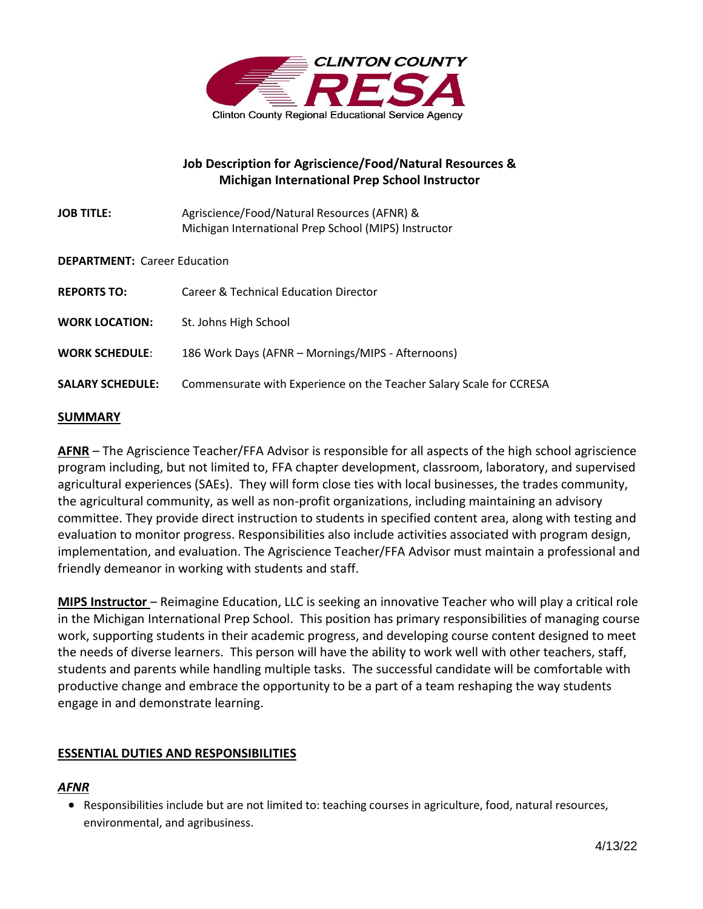

# **Job Description for Agriscience/Food/Natural Resources & Michigan International Prep School Instructor**

| <b>JOB TITLE:</b> | Agriscience/Food/Natural Resources (AFNR) &          |
|-------------------|------------------------------------------------------|
|                   | Michigan International Prep School (MIPS) Instructor |

### **DEPARTMENT:** Career Education

| <b>REPORTS TO:</b>      | <b>Career &amp; Technical Education Director</b>                    |
|-------------------------|---------------------------------------------------------------------|
| <b>WORK LOCATION:</b>   | St. Johns High School                                               |
| <b>WORK SCHEDULE:</b>   | 186 Work Days (AFNR - Mornings/MIPS - Afternoons)                   |
| <b>SALARY SCHEDULE:</b> | Commensurate with Experience on the Teacher Salary Scale for CCRESA |

## **SUMMARY**

**AFNR** – The Agriscience Teacher/FFA Advisor is responsible for all aspects of the high school agriscience program including, but not limited to, FFA chapter development, classroom, laboratory, and supervised agricultural experiences (SAEs). They will form close ties with local businesses, the trades community, the agricultural community, as well as non-profit organizations, including maintaining an advisory committee. They provide direct instruction to students in specified content area, along with testing and evaluation to monitor progress. Responsibilities also include activities associated with program design, implementation, and evaluation. The Agriscience Teacher/FFA Advisor must maintain a professional and friendly demeanor in working with students and staff.

**MIPS Instructor** – Reimagine Education, LLC is seeking an innovative Teacher who will play a critical role in the Michigan International Prep School. This position has primary responsibilities of managing course work, supporting students in their academic progress, and developing course content designed to meet the needs of diverse learners. This person will have the ability to work well with other teachers, staff, students and parents while handling multiple tasks. The successful candidate will be comfortable with productive change and embrace the opportunity to be a part of a team reshaping the way students engage in and demonstrate learning.

## **ESSENTIAL DUTIES AND RESPONSIBILITIES**

## *AFNR*

• Responsibilities include but are not limited to: teaching courses in agriculture, food, natural resources, environmental, and agribusiness.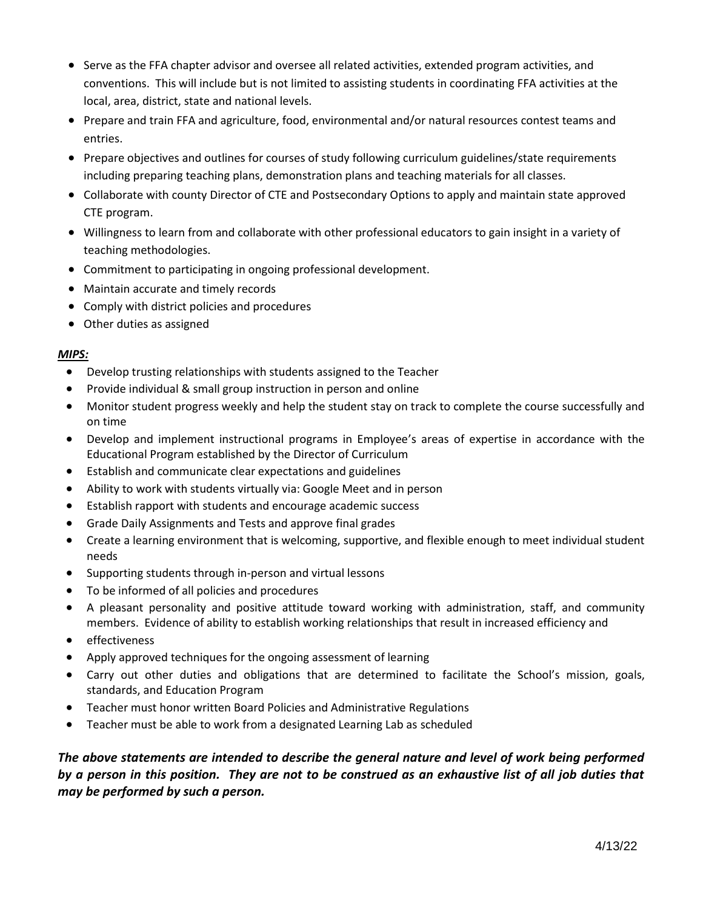- Serve as the FFA chapter advisor and oversee all related activities, extended program activities, and conventions. This will include but is not limited to assisting students in coordinating FFA activities at the local, area, district, state and national levels.
- Prepare and train FFA and agriculture, food, environmental and/or natural resources contest teams and entries.
- Prepare objectives and outlines for courses of study following curriculum guidelines/state requirements including preparing teaching plans, demonstration plans and teaching materials for all classes.
- Collaborate with county Director of CTE and Postsecondary Options to apply and maintain state approved CTE program.
- Willingness to learn from and collaborate with other professional educators to gain insight in a variety of teaching methodologies.
- Commitment to participating in ongoing professional development.
- Maintain accurate and timely records
- Comply with district policies and procedures
- Other duties as assigned

#### *MIPS:*

- Develop trusting relationships with students assigned to the Teacher
- Provide individual & small group instruction in person and online
- Monitor student progress weekly and help the student stay on track to complete the course successfully and on time
- Develop and implement instructional programs in Employee's areas of expertise in accordance with the Educational Program established by the Director of Curriculum
- Establish and communicate clear expectations and guidelines
- Ability to work with students virtually via: Google Meet and in person
- Establish rapport with students and encourage academic success
- Grade Daily Assignments and Tests and approve final grades
- Create a learning environment that is welcoming, supportive, and flexible enough to meet individual student needs
- Supporting students through in-person and virtual lessons
- To be informed of all policies and procedures
- A pleasant personality and positive attitude toward working with administration, staff, and community members. Evidence of ability to establish working relationships that result in increased efficiency and
- effectiveness
- Apply approved techniques for the ongoing assessment of learning
- Carry out other duties and obligations that are determined to facilitate the School's mission, goals, standards, and Education Program
- Teacher must honor written Board Policies and Administrative Regulations
- Teacher must be able to work from a designated Learning Lab as scheduled

*The above statements are intended to describe the general nature and level of work being performed by a person in this position. They are not to be construed as an exhaustive list of all job duties that may be performed by such a person.*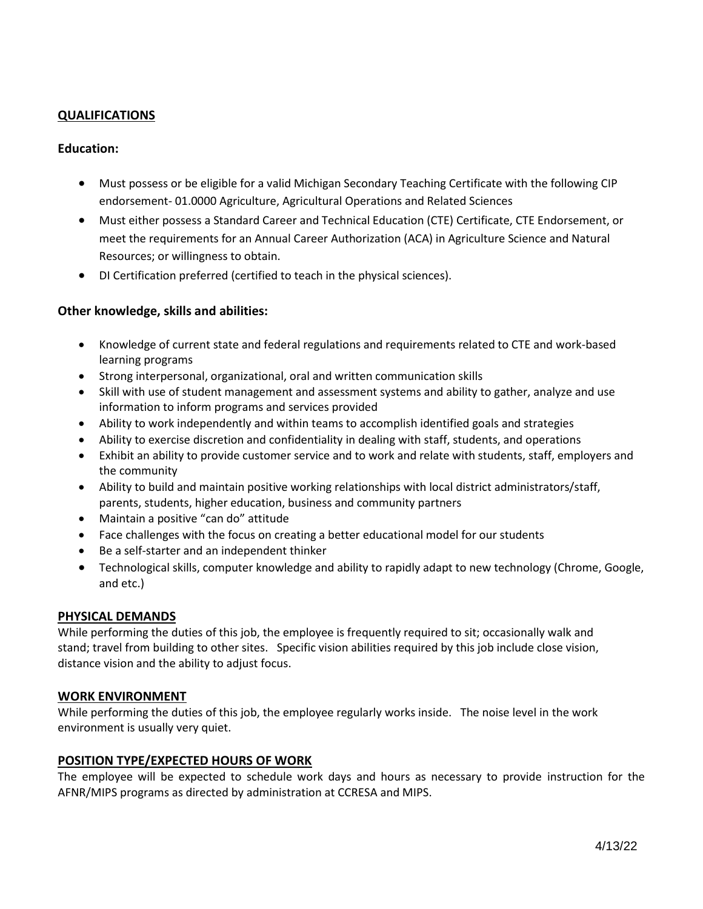### **QUALIFICATIONS**

#### **Education:**

- Must possess or be eligible for a valid Michigan Secondary Teaching Certificate with the following CIP endorsement- 01.0000 Agriculture, Agricultural Operations and Related Sciences
- Must either possess a Standard Career and Technical Education (CTE) Certificate, CTE Endorsement, or meet the requirements for an Annual Career Authorization (ACA) in Agriculture Science and Natural Resources; or willingness to obtain.
- DI Certification preferred (certified to teach in the physical sciences).

### **Other knowledge, skills and abilities:**

- Knowledge of current state and federal regulations and requirements related to CTE and work-based learning programs
- Strong interpersonal, organizational, oral and written communication skills
- Skill with use of student management and assessment systems and ability to gather, analyze and use information to inform programs and services provided
- Ability to work independently and within teams to accomplish identified goals and strategies
- Ability to exercise discretion and confidentiality in dealing with staff, students, and operations
- Exhibit an ability to provide customer service and to work and relate with students, staff, employers and the community
- Ability to build and maintain positive working relationships with local district administrators/staff, parents, students, higher education, business and community partners
- Maintain a positive "can do" attitude
- Face challenges with the focus on creating a better educational model for our students
- Be a self-starter and an independent thinker
- Technological skills, computer knowledge and ability to rapidly adapt to new technology (Chrome, Google, and etc.)

#### **PHYSICAL DEMANDS**

While performing the duties of this job, the employee is frequently required to sit; occasionally walk and stand; travel from building to other sites. Specific vision abilities required by this job include close vision, distance vision and the ability to adjust focus.

#### **WORK ENVIRONMENT**

While performing the duties of this job, the employee regularly works inside. The noise level in the work environment is usually very quiet.

#### **POSITION TYPE/EXPECTED HOURS OF WORK**

The employee will be expected to schedule work days and hours as necessary to provide instruction for the AFNR/MIPS programs as directed by administration at CCRESA and MIPS.